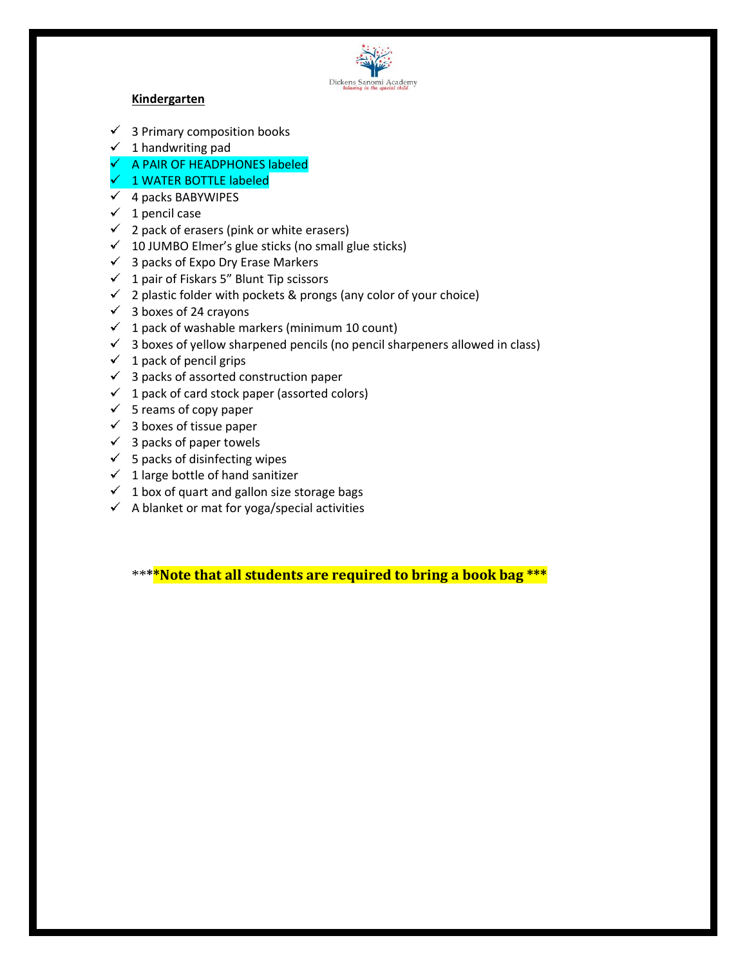

## **Kindergarten**

- $\checkmark$  3 Primary composition books
- $\checkmark$  1 handwriting pad
- $\checkmark$  A PAIR OF HEADPHONES labeled
- 1 WATER BOTTLE labeled
- $\checkmark$  4 packs BABYWIPES
- $\checkmark$  1 pencil case
- $\checkmark$  2 pack of erasers (pink or white erasers)
- $\checkmark$  10 JUMBO Elmer's glue sticks (no small glue sticks)
- $\checkmark$  3 packs of Expo Dry Erase Markers
- $\checkmark$  1 pair of Fiskars 5" Blunt Tip scissors
- $\checkmark$  2 plastic folder with pockets & prongs (any color of your choice)
- $\checkmark$  3 boxes of 24 crayons
- $1$  pack of washable markers (minimum 10 count)
- $\checkmark$  3 boxes of yellow sharpened pencils (no pencil sharpeners allowed in class)
- $\checkmark$  1 pack of pencil grips
- $\checkmark$  3 packs of assorted construction paper
- $\checkmark$  1 pack of card stock paper (assorted colors)
- $\checkmark$  5 reams of copy paper
- $\checkmark$  3 boxes of tissue paper
- $\checkmark$  3 packs of paper towels
- $\checkmark$  5 packs of disinfecting wipes
- $\checkmark$  1 large bottle of hand sanitizer
- $\checkmark$  1 box of quart and gallon size storage bags
- $\checkmark$  A blanket or mat for yoga/special activities

\*\***\*\*Note that all students are required to bring a book bag \*\*\***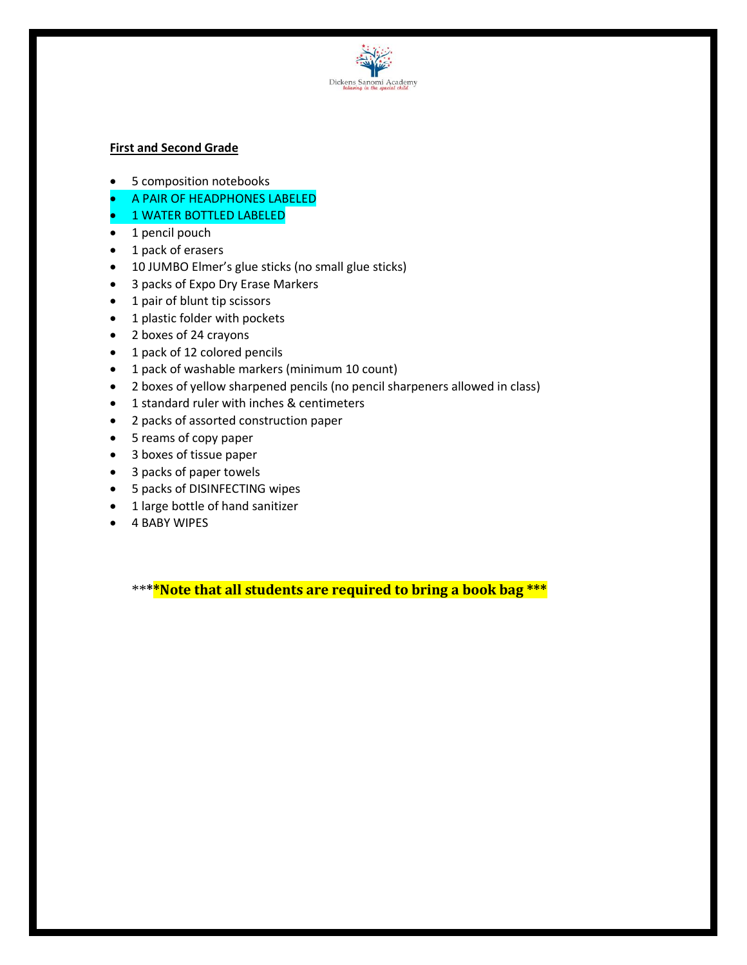

## **First and Second Grade**

- 5 composition notebooks
- A PAIR OF HEADPHONES LABELED
- 1 WATER BOTTLED LABELED
- 1 pencil pouch
- 1 pack of erasers
- 10 JUMBO Elmer's glue sticks (no small glue sticks)
- 3 packs of Expo Dry Erase Markers
- 1 pair of blunt tip scissors
- 1 plastic folder with pockets
- 2 boxes of 24 crayons
- 1 pack of 12 colored pencils
- 1 pack of washable markers (minimum 10 count)
- 2 boxes of yellow sharpened pencils (no pencil sharpeners allowed in class)
- 1 standard ruler with inches & centimeters
- 2 packs of assorted construction paper
- 5 reams of copy paper
- 3 boxes of tissue paper
- 3 packs of paper towels
- 5 packs of DISINFECTING wipes
- 1 large bottle of hand sanitizer
- 4 BABY WIPES

\*\***\*\*Note that all students are required to bring a book bag \*\*\***